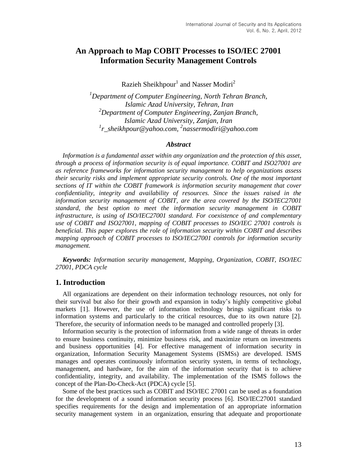# **An Approach to Map COBIT Processes to ISO/IEC 27001 Information Security Management Controls**

Razieh Sheikhpour<sup>1</sup> and Nasser Modiri<sup>2</sup>

*<sup>1</sup>Department of Computer Engineering, North Tehran Branch, Islamic Azad University, Tehran, Iran <sup>2</sup>Department of Computer Engineering, Zanjan Branch, Islamic Azad University, Zanjan, Iran 1 [r\\_sheikhpour@yahoo.com,](mailto:r_sheikhpour@yahoo.com) 2 [nassermodiri@yahoo.com](mailto:nassermodiri@yahoo.com)*

## *Abstract*

*Information is a fundamental asset within any organization and the protection of this asset, through a process of information security is of equal importance. COBIT and ISO27001 are as reference frameworks for information security management to help organizations assess their security risks and implement appropriate security controls. One of the most important sections of IT within the COBIT framework is information security management that cover confidentiality, integrity and availability of resources. Since the issues raised in the information security management of COBIT, are the area covered by the ISO/IEC27001 standard, the best option to meet the information security management in COBIT infrastructure, is using of ISO/IEC27001 standard. For coexistence of and complementary use of COBIT and ISO27001, mapping of COBIT processes to ISO/IEC 27001 controls is beneficial. This paper explores the role of information security within COBIT and describes mapping approach of COBIT processes to ISO/IEC27001 controls for information security management.*

*Keywords: Information security management, Mapping, Organization, COBIT, ISO/IEC 27001, PDCA cycle*

## **1. Introduction**

All organizations are dependent on their information technology resources, not only for their survival but also for their growth and expansion in today"s highly competitive global markets [1]. However, the use of information technology brings significant risks to information systems and particularly to the critical resources, due to its own nature [2]. Therefore, the security of information needs to be managed and controlled properly [3].

Information security is the protection of information from a wide range of threats in order to ensure business continuity, minimize business risk, and maximize return on investments and business opportunities [4]. For effective management of information security in organization, Information Security Management Systems (ISMSs) are developed. ISMS manages and operates continuously information security system, in terms of technology, management, and hardware, for the aim of the information security that is to achieve confidentiality, integrity, and availability. The implementation of the ISMS follows the concept of the Plan-Do-Check-Act (PDCA) cycle [5].

Some of the best practices such as COBIT and ISO/IEC 27001 can be used as a foundation for the development of a sound information security process [6]. ISO/IEC27001 standard specifies requirements for the design and implementation of an appropriate information security management system in an organization, ensuring that adequate and proportionate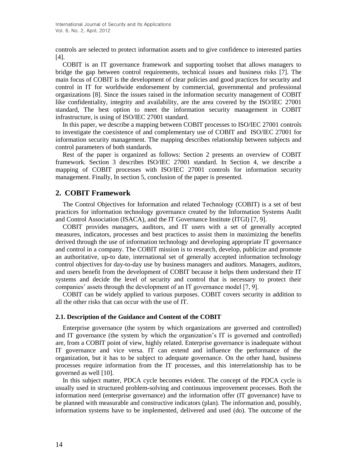controls are selected to protect information assets and to give confidence to interested parties [4].

COBIT is an IT governance framework and supporting toolset that allows managers to bridge the gap between control requirements, technical issues and business risks [7]. The main focus of COBIT is the development of clear policies and good practices for security and control in IT for worldwide endorsement by commercial, governmental and professional organizations [8]. Since the issues raised in the information security management of COBIT like confidentiality, integrity and availability, are the area covered by the ISO/IEC 27001 standard, The best option to meet the information security management in COBIT infrastructure, is using of ISO/IEC 27001 standard.

In this paper, we describe a mapping between COBIT processes to ISO/IEC 27001 controls to investigate the coexistence of and complementary use of COBIT and ISO/IEC 27001 for information security management. The mapping describes relationship between subjects and control parameters of both standards.

Rest of the paper is organized as follows: Section 2 presents an overview of COBIT framework. Section 3 describes ISO/IEC 27001 standard. In Section 4, we describe a mapping of COBIT processes with ISO/IEC 27001 controls for information security management. Finally, In section 5, conclusion of the paper is presented.

## **2. COBIT Framework**

The Control Objectives for Information and related Technology (COBIT) is a set of best practices for information technology governance created by the Information Systems Audit and Control Association (ISACA), and the IT Governance Institute (ITGI) [7, 9].

COBIT provides managers, auditors, and IT users with a set of generally accepted measures, indicators, processes and best practices to assist them in maximizing the benefits derived through the use of information technology and developing appropriate IT governance and control in a company. The COBIT mission is to research, develop, publicize and promote an authoritative, up-to date, international set of generally accepted information technology control objectives for day-to-day use by business managers and auditors. Managers, auditors, and users benefit from the development of COBIT because it helps them understand their IT systems and decide the level of security and control that is necessary to protect their companies' assets through the development of an IT governance model [7, 9].

COBIT can be widely applied to various purposes. COBIT covers security in addition to all the other risks that can occur with the use of IT.

## **2.1. Description of the Guidance and Content of the COBIT**

Enterprise governance (the system by which organizations are governed and controlled) and IT governance (the system by which the organization's IT is governed and controlled) are, from a COBIT point of view, highly related. Enterprise governance is inadequate without IT governance and vice versa. IT can extend and influence the performance of the organization, but it has to be subject to adequate governance. On the other hand, business processes require information from the IT processes, and this interrelationship has to be governed as well [10].

In this subject matter, PDCA cycle becomes evident. The concept of the PDCA cycle is usually used in structured problem-solving and continuous improvement processes. Both the information need (enterprise governance) and the information offer (IT governance) have to be planned with measurable and constructive indicators (plan). The information and, possibly, information systems have to be implemented, delivered and used (do). The outcome of the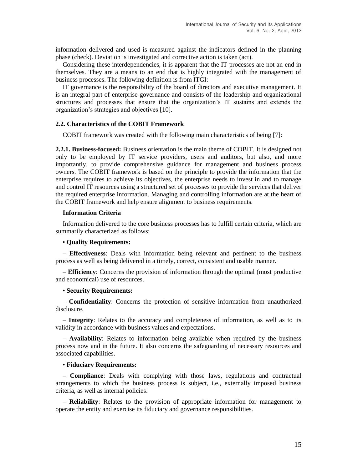information delivered and used is measured against the indicators defined in the planning phase (check). Deviation is investigated and corrective action is taken (act).

Considering these interdependencies, it is apparent that the IT processes are not an end in themselves. They are a means to an end that is highly integrated with the management of business processes. The following definition is from ITGI:

IT governance is the responsibility of the board of directors and executive management. It is an integral part of enterprise governance and consists of the leadership and organizational structures and processes that ensure that the organization"s IT sustains and extends the organization"s strategies and objectives [10].

## **2.2. Characteristics of the COBIT Framework**

COBIT framework was created with the following main characteristics of being [7]:

**2.2.1. Business-focused:** Business orientation is the main theme of COBIT. It is designed not only to be employed by IT service providers, users and auditors, but also, and more importantly, to provide comprehensive guidance for management and business process owners. The COBIT framework is based on the principle to provide the information that the enterprise requires to achieve its objectives, the enterprise needs to invest in and to manage and control IT resources using a structured set of processes to provide the services that deliver the required enterprise information. Managing and controlling information are at the heart of the COBIT framework and help ensure alignment to business requirements.

### **Information Criteria**

Information delivered to the core business processes has to fulfill certain criteria, which are summarily characterized as follows:

## • **Quality Requirements:**

– **Effectiveness**: Deals with information being relevant and pertinent to the business process as well as being delivered in a timely, correct, consistent and usable manner.

– **Efficiency**: Concerns the provision of information through the optimal (most productive and economical) use of resources.

#### • **Security Requirements:**

– **Confidentiality**: Concerns the protection of sensitive information from unauthorized disclosure.

– **Integrity**: Relates to the accuracy and completeness of information, as well as to its validity in accordance with business values and expectations.

– **Availability**: Relates to information being available when required by the business process now and in the future. It also concerns the safeguarding of necessary resources and associated capabilities.

## • **Fiduciary Requirements:**

– **Compliance**: Deals with complying with those laws, regulations and contractual arrangements to which the business process is subject, i.e., externally imposed business criteria, as well as internal policies.

– **Reliability**: Relates to the provision of appropriate information for management to operate the entity and exercise its fiduciary and governance responsibilities.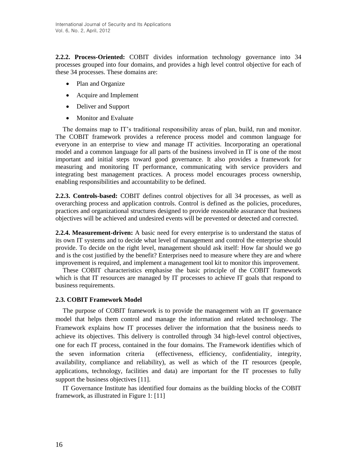**2.2.2. Process-Oriented:** COBIT divides information technology governance into 34 processes grouped into four domains, and provides a high level control objective for each of these 34 processes. These domains are:

- Plan and Organize
- Acquire and Implement
- Deliver and Support
- Monitor and Evaluate

The domains map to IT"s traditional responsibility areas of plan, build, run and monitor. The COBIT framework provides a reference process model and common language for everyone in an enterprise to view and manage IT activities. Incorporating an operational model and a common language for all parts of the business involved in IT is one of the most important and initial steps toward good governance. It also provides a framework for measuring and monitoring IT performance, communicating with service providers and integrating best management practices. A process model encourages process ownership, enabling responsibilities and accountability to be defined.

**2.2.3. Controls-based:** COBIT defines control objectives for all 34 processes, as well as overarching process and application controls. Control is defined as the policies, procedures, practices and organizational structures designed to provide reasonable assurance that business objectives will be achieved and undesired events will be prevented or detected and corrected.

**2.2.4. Measurement-driven:** A basic need for every enterprise is to understand the status of its own IT systems and to decide what level of management and control the enterprise should provide. To decide on the right level, management should ask itself: How far should we go and is the cost justified by the benefit? Enterprises need to measure where they are and where improvement is required, and implement a management tool kit to monitor this improvement.

These COBIT characteristics emphasise the basic principle of the COBIT framework which is that IT resources are managed by IT processes to achieve IT goals that respond to business requirements.

## **2.3. COBIT Framework Model**

The purpose of COBIT framework is to provide the management with an IT governance model that helps them control and manage the information and related technology. The Framework explains how IT processes deliver the information that the business needs to achieve its objectives. This delivery is controlled through 34 high-level control objectives, one for each IT process, contained in the four domains. The Framework identifies which of the seven information criteria (effectiveness, efficiency, confidentiality, integrity, availability, compliance and reliability), as well as which of the IT resources (people, applications, technology, facilities and data) are important for the IT processes to fully support the business objectives [11].

IT Governance Institute has identified four domains as the building blocks of the COBIT framework, as illustrated in Figure 1: [11]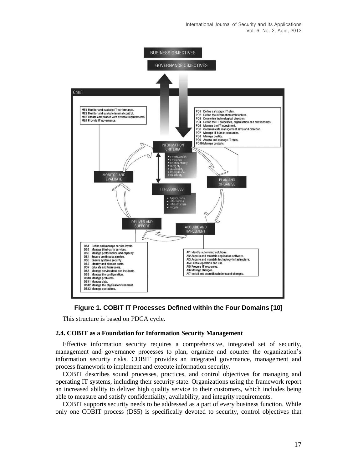International Journal of Security and Its Applications Vol. 6, No. 2, April, 2012





This structure is based on PDCA cycle.

#### **2.4. COBIT as a Foundation for Information Security Management**

Effective information security requires a comprehensive, integrated set of security, management and governance processes to plan, organize and counter the organization"s information security risks. COBIT provides an integrated governance, management and process framework to implement and execute information security.

COBIT describes sound processes, practices, and control objectives for managing and operating IT systems, including their security state. Organizations using the framework report an increased ability to deliver high quality service to their customers, which includes being able to measure and satisfy confidentiality, availability, and integrity requirements.

COBIT supports security needs to be addressed as a part of every business function. While only one COBIT process (DS5) is specifically devoted to security, control objectives that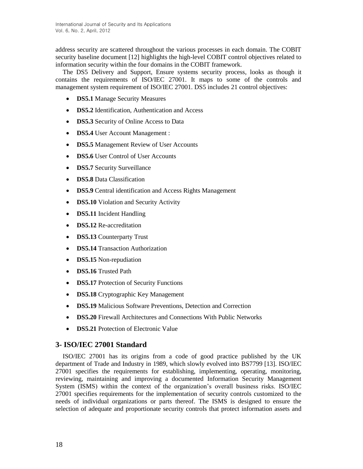address security are scattered throughout the various processes in each domain. The COBIT security baseline document [12] highlights the high-level COBIT control objectives related to information security within the four domains in the COBIT framework.

The DS5 Delivery and Support, Ensure systems security process, looks as though it contains the requirements of ISO/IEC 27001. It maps to some of the controls and management system requirement of ISO/IEC 27001. DS5 includes 21 control objectives:

- **DS5.1** Manage Security Measures
- **DS5.2** Identification, Authentication and Access
- **DS5.3** Security of Online Access to Data
- **DS5.4** User Account Management :
- **DS5.5** Management Review of User Accounts
- **DS5.6** User Control of User Accounts
- **DS5.7** Security Surveillance
- **DS5.8** Data Classification
- **DS5.9** Central identification and Access Rights Management
- **DS5.10** Violation and Security Activity
- **DS5.11** Incident Handling
- **DS5.12** Re-accreditation
- **DS5.13** Counterparty Trust
- **DS5.14** Transaction Authorization
- **DS5.15** Non-repudiation
- **DS5.16** Trusted Path
- **DS5.17** Protection of Security Functions
- **DS5.18** Cryptographic Key Management
- **DS5.19** Malicious Software Preventions, Detection and Correction
- **DS5.20** Firewall Architectures and Connections With Public Networks
- **DS5.21** Protection of Electronic Value

# **3- ISO/IEC 27001 Standard**

ISO/IEC 27001 has its origins from a code of good practice published by the UK department of Trade and Industry in 1989, which slowly evolved into BS7799 [13]. ISO/IEC 27001 specifies the requirements for establishing, implementing, operating, monitoring, reviewing, maintaining and improving a documented Information Security Management System (ISMS) within the context of the organization's overall business risks. ISO/IEC 27001 specifies requirements for the implementation of security controls customized to the needs of individual organizations or parts thereof. The ISMS is designed to ensure the selection of adequate and proportionate security controls that protect information assets and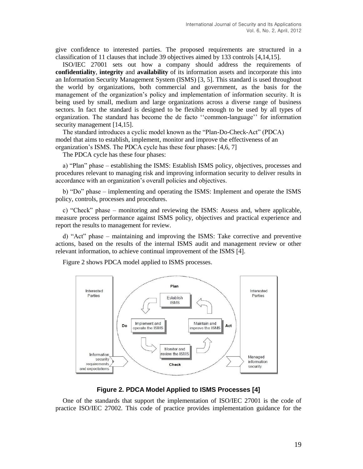give confidence to interested parties. The proposed requirements are structured in a classification of 11 clauses that include 39 objectives aimed by 133 controls [4,14,15].

ISO/IEC 27001 sets out how a company should address the requirements of **confidentiality**, **integrity** and **availability** of its information assets and incorporate this into an Information Security Management System (ISMS) [3, 5]. This standard is used throughout the world by organizations, both commercial and government, as the basis for the management of the organization"s policy and implementation of information security. It is being used by small, medium and large organizations across a diverse range of business sectors. In fact the standard is designed to be flexible enough to be used by all types of organization. The standard has become the de facto "common-language" for information security management [14,15].

The standard introduces a cyclic model known as the "Plan-Do-Check-Act" (PDCA) model that aims to establish, implement, monitor and improve the effectiveness of an organization"s ISMS. The PDCA cycle has these four phases: [4,6, 7]

The PDCA cycle has these four phases:

a) "Plan" phase – establishing the ISMS: Establish ISMS policy, objectives, processes and procedures relevant to managing risk and improving information security to deliver results in accordance with an organization"s overall policies and objectives.

b) "Do" phase – implementing and operating the ISMS: Implement and operate the ISMS policy, controls, processes and procedures.

c) "Check" phase – monitoring and reviewing the ISMS: Assess and, where applicable, measure process performance against ISMS policy, objectives and practical experience and report the results to management for review.

d) "Act" phase – maintaining and improving the ISMS: Take corrective and preventive actions, based on the results of the internal ISMS audit and management review or other relevant information, to achieve continual improvement of the ISMS [4].

Figure 2 shows PDCA model applied to ISMS processes.



## **Figure 2. PDCA Model Applied to ISMS Processes [4]**

One of the standards that support the implementation of ISO/IEC 27001 is the code of practice ISO/IEC 27002. This code of practice provides implementation guidance for the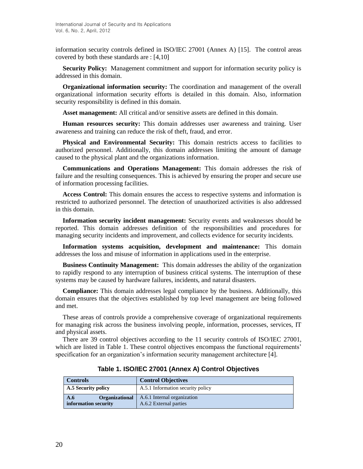information security controls defined in ISO/IEC 27001 (Annex A) [15]. The control areas covered by both these standards are : [4,10]

**Security Policy:** Management commitment and support for information security policy is addressed in this domain.

**Organizational information security:** The coordination and management of the overall organizational information security efforts is detailed in this domain. Also, information security responsibility is defined in this domain.

**Asset management:** All critical and/or sensitive assets are defined in this domain.

**Human resources security:** This domain addresses user awareness and training. User awareness and training can reduce the risk of theft, fraud, and error.

**Physical and Environmental Security:** This domain restricts access to facilities to authorized personnel. Additionally, this domain addresses limiting the amount of damage caused to the physical plant and the organizations information.

**Communications and Operations Management:** This domain addresses the risk of failure and the resulting consequences. This is achieved by ensuring the proper and secure use of information processing facilities.

**Access Control:** This domain ensures the access to respective systems and information is restricted to authorized personnel. The detection of unauthorized activities is also addressed in this domain.

**Information security incident management:** Security events and weaknesses should be reported. This domain addresses definition of the responsibilities and procedures for managing security incidents and improvement, and collects evidence for security incidents.

**Information systems acquisition, development and maintenance:** This domain addresses the loss and misuse of information in applications used in the enterprise.

**Business Continuity Management:** This domain addresses the ability of the organization to rapidly respond to any interruption of business critical systems. The interruption of these systems may be caused by hardware failures, incidents, and natural disasters.

**Compliance:** This domain addresses legal compliance by the business. Additionally, this domain ensures that the objectives established by top level management are being followed and met.

These areas of controls provide a comprehensive coverage of organizational requirements for managing risk across the business involving people, information, processes, services, IT and physical assets.

There are 39 control objectives according to the 11 security controls of ISO/IEC 27001, which are listed in Table 1. These control objectives encompass the functional requirements' specification for an organization"s information security management architecture [4].

| Controls                                             | <b>Control Objectives</b>                             |
|------------------------------------------------------|-------------------------------------------------------|
| A.5 Security policy                                  | A.5.1 Information security policy                     |
| A.6<br><b>Organizational</b><br>information security | A.6.1 Internal organization<br>A.6.2 External parties |

**Table 1. ISO/IEC 27001 (Annex A) Control Objectives**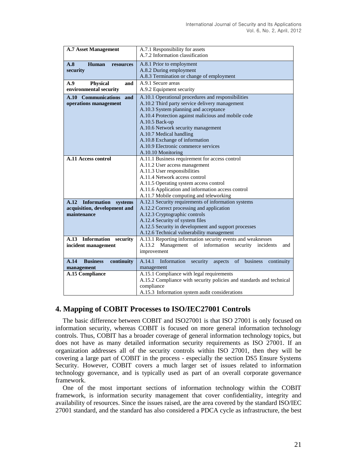| <b>A.7 Asset Management</b>           | A.7.1 Responsibility for assets                                              |  |
|---------------------------------------|------------------------------------------------------------------------------|--|
|                                       | A.7.2 Information classification                                             |  |
| A.8<br>Human<br>resources             | A.8.1 Prior to employment                                                    |  |
| security                              | A.8.2 During employment                                                      |  |
|                                       | A.8.3 Termination or change of employment                                    |  |
| Physical<br>A.9<br>and                | A.9.1 Secure areas                                                           |  |
| environmental security                | A.9.2 Equipment security                                                     |  |
| A.10 Communications<br>and            | A.10.1 Operational procedures and responsibilities                           |  |
| operations management                 | A.10.2 Third party service delivery management                               |  |
|                                       | A.10.3 System planning and acceptance                                        |  |
|                                       | A.10.4 Protection against malicious and mobile code                          |  |
|                                       | A.10.5 Back-up                                                               |  |
|                                       | A.10.6 Network security management                                           |  |
|                                       | A.10.7 Medical handling                                                      |  |
|                                       | A.10.8 Exchange of information                                               |  |
|                                       | A.10.9 Electronic commerce services                                          |  |
|                                       | A.10.10 Monitoring                                                           |  |
| A.11 Access control                   | A.11.1 Business requirement for access control                               |  |
|                                       | A.11.2 User access management                                                |  |
|                                       | A.11.3 User responsibilities                                                 |  |
|                                       | A.11.4 Network access control<br>A.11.5 Operating system access control      |  |
|                                       | A.11.6 Application and information access control                            |  |
|                                       | A.11.7 Mobile computing and teleworking                                      |  |
| A.12 Information systems              | A.12.1 Security requirements of information systems                          |  |
| acquisition, development and          | A.12.2 Correct processing and application                                    |  |
| maintenance                           | A.12.3 Cryptographic controls                                                |  |
|                                       | A.12.4 Security of system files                                              |  |
|                                       | A.12.5 Security in development and support processes                         |  |
|                                       | A.12.6 Technical vulnerability management                                    |  |
| A.13 Information<br>security          | A.13.1 Reporting information security events and weaknesses                  |  |
| incident management                   | A.13.2 Management of information security incidents<br>and                   |  |
|                                       | improvement                                                                  |  |
| A.14<br><b>Business</b><br>continuity | A.14.1<br>Information<br>of<br>security<br>business<br>continuity<br>aspects |  |
| management                            | management                                                                   |  |
| <b>A.15 Compliance</b>                | A.15.1 Compliance with legal requirements                                    |  |
|                                       | A.15.2 Compliance with security policies and standards and technical         |  |
|                                       | compliance                                                                   |  |
|                                       | A.15.3 Information system audit considerations                               |  |

# **4. Mapping of COBIT Processes to ISO/IEC27001 Controls**

The basic difference between COBIT and ISO27001 is that ISO 27001 is only focused on information security, whereas COBIT is focused on more general information technology controls. Thus, COBIT has a broader coverage of general information technology topics, but does not have as many detailed information security requirements as ISO 27001. If an organization addresses all of the security controls within ISO 27001, then they will be covering a large part of COBIT in the process - especially the section DS5 Ensure Systems Security. However, COBIT covers a much larger set of issues related to information technology governance, and is typically used as part of an overall corporate governance framework.

One of the most important sections of information technology within the COBIT framework, is information security management that cover confidentiality, integrity and availability of resources. Since the issues raised, are the area covered by the standard ISO/IEC 27001 standard, and the standard has also considered a PDCA cycle as infrastructure, the best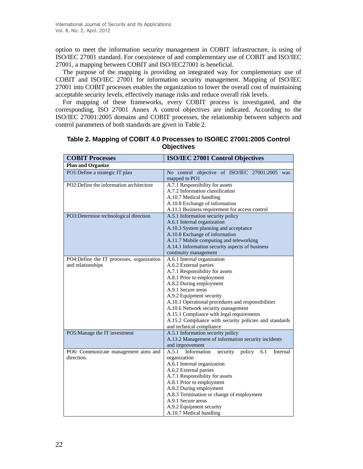option to meet the information security management in COBIT infrastructure, is using of ISO/IEC 27001 standard. For coexistence of and complementary use of COBIT and ISO/IEC 27001, a mapping between COBIT and ISO/IEC27001 is beneficial.

The purpose of the mapping is providing an integrated way for complementary use of COBIT and ISO/IEC 27001 for information security management. Mapping of ISO/IEC 27001 into COBIT processes enables the organization to lower the overall cost of maintaining acceptable security levels, effectively manage risks and reduce overall risk levels.

For mapping of these frameworks, every COBIT process is investigated, and the corresponding, ISO 27001 Annex A control objectives are indicated. According to the ISO/IEC 27001:2005 domains and COBIT processes, the relationship between subjects and control parameters of both standards are given in Table 2.

| <b>COBIT Processes</b>                                         | <b>ISO/IEC 27001 Control Objectives</b>                                                                                                                                                                                                                                                                                                                                                                                           |  |
|----------------------------------------------------------------|-----------------------------------------------------------------------------------------------------------------------------------------------------------------------------------------------------------------------------------------------------------------------------------------------------------------------------------------------------------------------------------------------------------------------------------|--|
| <b>Plan and Organize</b>                                       |                                                                                                                                                                                                                                                                                                                                                                                                                                   |  |
| PO1:Define a strategic IT plan                                 | No control objective of ISO/IEC 27001:2005 was<br>mapped to PO1                                                                                                                                                                                                                                                                                                                                                                   |  |
| PO2:Define the information architecture                        | A.7.1 Responsibility for assets<br>A.7.2 Information classification<br>A.10.7 Medical handling<br>A.10.8 Exchange of information                                                                                                                                                                                                                                                                                                  |  |
| PO3:Determine technological direction                          | A.11.1 Business requirement for access control<br>A.5.1 Information security policy<br>A.6.1 Internal organization<br>A.10.3 System planning and acceptance<br>A.10.8 Exchange of information<br>A.11.7 Mobile computing and teleworking<br>A.14.1 Information security aspects of business<br>continuity management                                                                                                              |  |
| PO4:Define the IT processes, organization<br>and relationships | A.6.1 Internal organization<br>A.6.2 External parties<br>A.7.1 Responsibility for assets<br>A.8.1 Prior to employment<br>A.8.2 During employment<br>A.9.1 Secure areas<br>A.9.2 Equipment security<br>A.10.1 Operational procedures and responsibilities<br>A.10.6 Network security management<br>A.15.1 Compliance with legal requirements<br>A.15.2 Compliance with security policies and standards<br>and technical compliance |  |
| PO5: Manage the IT investment                                  | A.5.1 Information security policy<br>A.13.2 Management of information security incidents<br>and improvement                                                                                                                                                                                                                                                                                                                       |  |
| PO6: Communicate management aims and<br>direction.             | A.5.1<br>Information<br>policy<br>security<br>6.1<br>Internal<br>organization<br>A.6.1 Internal organization<br>A.6.2 External parties<br>A.7.1 Responsibility for assets<br>A.8.1 Prior to employment<br>A.8.2 During employment<br>A.8.3 Termination or change of employment<br>A.9.1 Secure areas<br>A.9.2 Equipment security<br>A.10.7 Medical handling                                                                       |  |

| Table 2. Mapping of COBIT 4.0 Processes to ISO/IEC 27001:2005 Control |  |
|-----------------------------------------------------------------------|--|
| <b>Objectives</b>                                                     |  |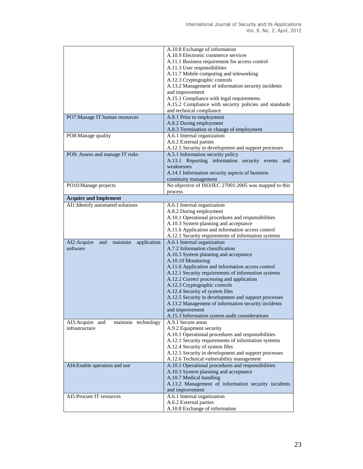|                                                | A.10.8 Exchange of information                                                          |
|------------------------------------------------|-----------------------------------------------------------------------------------------|
|                                                | A.10.9 Electronic commerce services                                                     |
|                                                | A.11.1 Business requirement for access control                                          |
|                                                | A.11.3 User responsibilities                                                            |
|                                                | A.11.7 Mobile computing and teleworking                                                 |
|                                                | A.12.3 Cryptographic controls                                                           |
|                                                | A.13.2 Management of information security incidents                                     |
|                                                | and improvement                                                                         |
|                                                | A.15.1 Compliance with legal requirements                                               |
|                                                | A.15.2 Compliance with security policies and standards                                  |
|                                                | and technical compliance                                                                |
| PO7: Manage IT human resources                 | A.8.1 Prior to employment                                                               |
|                                                | A.8.2 During employment                                                                 |
|                                                | A.8.3 Termination or change of employment                                               |
| PO8: Manage quality                            | A.6.1 Internal organization                                                             |
|                                                | A.6.2 External parties                                                                  |
|                                                | A.12.5 Security in development and support processes                                    |
| PO9: Assess and manage IT risks                | A.5.1 Information security policy                                                       |
|                                                | A.13.1 Reporting information security events<br>and                                     |
|                                                | weaknesses                                                                              |
|                                                | A.14.1 Information security aspects of business                                         |
|                                                | continuity management                                                                   |
| PO10:Manage projects                           | No objective of ISO/IEC 27001:2005 was mapped to this                                   |
|                                                | process                                                                                 |
| <b>Acquire and Implement</b>                   |                                                                                         |
| AI1: Identify automated solutions              | A.6.1 Internal organization                                                             |
|                                                | A.8.2 During employment                                                                 |
|                                                | A.10.1 Operational procedures and responsibilities                                      |
|                                                | A.10.3 System planning and acceptance                                                   |
|                                                | A.11.6 Application and information access control                                       |
|                                                | A.12.1 Security requirements of information systems                                     |
| AI2: Acquire<br>application<br>and<br>maintain | A.6.1 Internal organization                                                             |
| software                                       | A.7.2 Information classification                                                        |
|                                                | A.10.3 System planning and acceptance                                                   |
|                                                | A.10.10 Monitoring                                                                      |
|                                                | A.11.6 Application and information access control                                       |
|                                                | A.12.1 Security requirements of information systems                                     |
|                                                | A.12.2 Correct processing and application                                               |
|                                                | A.12.3 Cryptographic controls                                                           |
|                                                | A.12.4 Security of system files                                                         |
|                                                | A.12.5 Security in development and support processes                                    |
|                                                | A.13.2 Management of information security incidents                                     |
|                                                | and improvement                                                                         |
|                                                | A.15.3 Information system audit considerations                                          |
| maintain technology<br>AI3: Acquire and        | A.9.1 Secure areas                                                                      |
| infrastructure                                 | A.9.2 Equipment security                                                                |
|                                                | A.10.1 Operational procedures and responsibilities                                      |
|                                                | A.12.1 Security requirements of information systems                                     |
|                                                | A.12.4 Security of system files<br>A.12.5 Security in development and support processes |
|                                                | A.12.6 Technical vulnerability management                                               |
| AI4: Enable operation and use                  | A.10.1 Operational procedures and responsibilities                                      |
|                                                | A.10.3 System planning and acceptance                                                   |
|                                                | A.10.7 Medical handling                                                                 |
|                                                | A.13.2 Management of information security incidents                                     |
|                                                | and improvement                                                                         |
| AI5: Procure IT resources                      | A.6.1 Internal organization                                                             |
|                                                | A.6.2 External parties                                                                  |
|                                                | A.10.8 Exchange of information                                                          |
|                                                |                                                                                         |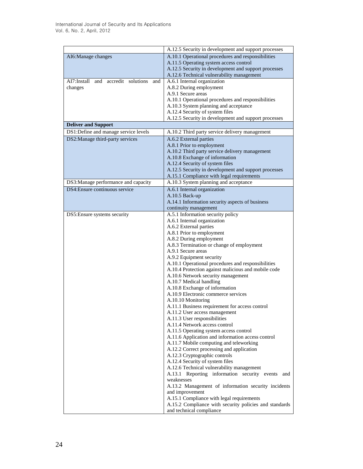|                                           | A.12.5 Security in development and support processes                           |
|-------------------------------------------|--------------------------------------------------------------------------------|
| AI6: Manage changes                       | A.10.1 Operational procedures and responsibilities                             |
|                                           | A.11.5 Operating system access control                                         |
|                                           | A.12.5 Security in development and support processes                           |
|                                           | A.12.6 Technical vulnerability management                                      |
| AI7:Install and accredit solutions<br>and | A.6.1 Internal organization                                                    |
| changes                                   | A.8.2 During employment                                                        |
|                                           | A.9.1 Secure areas                                                             |
|                                           | A.10.1 Operational procedures and responsibilities                             |
|                                           | A.10.3 System planning and acceptance                                          |
|                                           | A.12.4 Security of system files                                                |
|                                           | A.12.5 Security in development and support processes                           |
| <b>Deliver and Support</b>                |                                                                                |
| DS1:Define and manage service levels      | A.10.2 Third party service delivery management                                 |
| DS2:Manage third-party services           | A.6.2 External parties                                                         |
|                                           | A.8.1 Prior to employment                                                      |
|                                           | A.10.2 Third party service delivery management                                 |
|                                           | A.10.8 Exchange of information                                                 |
|                                           | A.12.4 Security of system files                                                |
|                                           | A.12.5 Security in development and support processes                           |
|                                           | A.15.1 Compliance with legal requirements                                      |
| DS3:Manage performance and capacity       | A.10.3 System planning and acceptance                                          |
| DS4: Ensure continuous service            | A.6.1 Internal organization                                                    |
|                                           | A.10.5 Back-up                                                                 |
|                                           | A.14.1 Information security aspects of business                                |
|                                           | continuity management                                                          |
| DS5: Ensure systems security              | A.5.1 Information security policy                                              |
|                                           | A.6.1 Internal organization                                                    |
|                                           | A.6.2 External parties                                                         |
|                                           | A.8.1 Prior to employment                                                      |
|                                           | A.8.2 During employment                                                        |
|                                           | A.8.3 Termination or change of employment                                      |
|                                           | A.9.1 Secure areas                                                             |
|                                           | A.9.2 Equipment security<br>A.10.1 Operational procedures and responsibilities |
|                                           | A.10.4 Protection against malicious and mobile code                            |
|                                           | A.10.6 Network security management                                             |
|                                           | A.10.7 Medical handling                                                        |
|                                           | A.10.8 Exchange of information                                                 |
|                                           | A.10.9 Electronic commerce services                                            |
|                                           | A.10.10 Monitoring                                                             |
|                                           | A.11.1 Business requirement for access control                                 |
|                                           | A.11.2 User access management                                                  |
|                                           | A.11.3 User responsibilities                                                   |
|                                           | A.11.4 Network access control                                                  |
|                                           | A.11.5 Operating system access control                                         |
|                                           | A.11.6 Application and information access control                              |
|                                           | A.11.7 Mobile computing and teleworking                                        |
|                                           | A.12.2 Correct processing and application                                      |
|                                           | A.12.3 Cryptographic controls                                                  |
|                                           | A.12.4 Security of system files                                                |
|                                           | A.12.6 Technical vulnerability management                                      |
|                                           | A.13.1 Reporting information security events and                               |
|                                           | weaknesses                                                                     |
|                                           | A.13.2 Management of information security incidents                            |
|                                           | and improvement                                                                |
|                                           | A.15.1 Compliance with legal requirements                                      |
|                                           | A.15.2 Compliance with security policies and standards                         |
|                                           | and technical compliance                                                       |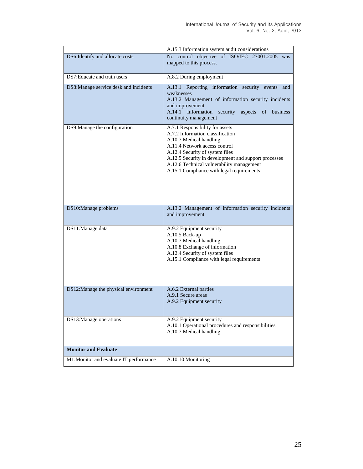|                                        | A.15.3 Information system audit considerations                                                                                                                                                                                                                                                                       |
|----------------------------------------|----------------------------------------------------------------------------------------------------------------------------------------------------------------------------------------------------------------------------------------------------------------------------------------------------------------------|
| DS6: Identify and allocate costs       | No control objective of ISO/IEC 27001:2005 was<br>mapped to this process.                                                                                                                                                                                                                                            |
| DS7: Educate and train users           | A.8.2 During employment                                                                                                                                                                                                                                                                                              |
| DS8:Manage service desk and incidents  | A.13.1 Reporting information security events<br>and<br>weaknesses<br>A.13.2 Management of information security incidents<br>and improvement<br>A.14.1 Information security<br>aspects of business<br>continuity management                                                                                           |
| DS9: Manage the configuration          | A.7.1 Responsibility for assets<br>A.7.2 Information classification<br>A.10.7 Medical handling<br>A.11.4 Network access control<br>A.12.4 Security of system files<br>A.12.5 Security in development and support processes<br>A.12.6 Technical vulnerability management<br>A.15.1 Compliance with legal requirements |
| DS10:Manage problems                   | A.13.2 Management of information security incidents<br>and improvement                                                                                                                                                                                                                                               |
| DS11:Manage data                       | A.9.2 Equipment security<br>A.10.5 Back-up<br>A.10.7 Medical handling<br>A.10.8 Exchange of information<br>A.12.4 Security of system files<br>A.15.1 Compliance with legal requirements                                                                                                                              |
| DS12:Manage the physical environment   | A.6.2 External parties<br>A.9.1 Secure areas<br>A.9.2 Equipment security                                                                                                                                                                                                                                             |
| DS13:Manage operations                 | A.9.2 Equipment security<br>A.10.1 Operational procedures and responsibilities<br>A.10.7 Medical handling                                                                                                                                                                                                            |
| <b>Monitor and Evaluate</b>            |                                                                                                                                                                                                                                                                                                                      |
| M1:Monitor and evaluate IT performance | A.10.10 Monitoring                                                                                                                                                                                                                                                                                                   |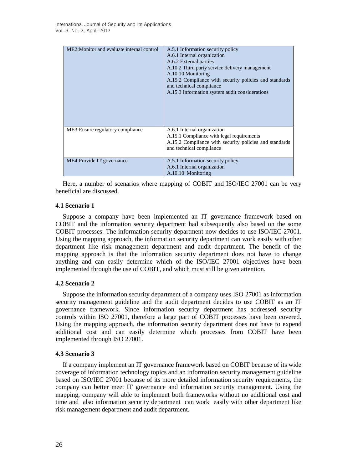| ME2: Monitor and evaluate internal control | A.5.1 Information security policy<br>A.6.1 Internal organization<br>A.6.2 External parties<br>A.10.2 Third party service delivery management<br>A.10.10 Monitoring<br>A.15.2 Compliance with security policies and standards<br>and technical compliance<br>A.15.3 Information system audit considerations |
|--------------------------------------------|------------------------------------------------------------------------------------------------------------------------------------------------------------------------------------------------------------------------------------------------------------------------------------------------------------|
| ME3: Ensure regulatory compliance          | A.6.1 Internal organization<br>A.15.1 Compliance with legal requirements<br>A.15.2 Compliance with security policies and standards<br>and technical compliance                                                                                                                                             |
| ME4: Provide IT governance                 | A.5.1 Information security policy<br>A.6.1 Internal organization<br>A.10.10 Monitoring                                                                                                                                                                                                                     |

Here, a number of scenarios where mapping of COBIT and ISO/IEC 27001 can be very beneficial are discussed.

## **4.1 Scenario 1**

Suppose a company have been implemented an IT governance framework based on COBIT and the information security department had subsequently also based on the some COBIT processes. The information security department now decides to use ISO/IEC 27001. Using the mapping approach, the information security department can work easily with other department like risk management department and audit department. The benefit of the mapping approach is that the information security department does not have to change anything and can easily determine which of the ISO/IEC 27001 objectives have been implemented through the use of COBIT, and which must still be given attention.

## **4.2 Scenario 2**

Suppose the information security department of a company uses ISO 27001 as information security management guideline and the audit department decides to use COBIT as an IT governance framework. Since information security department has addressed security controls within ISO 27001, therefore a large part of COBIT processes have been covered. Using the mapping approach, the information security department does not have to expend additional cost and can easily determine which processes from COBIT have been implemented through ISO 27001.

### **4.3 Scenario 3**

If a company implement an IT governance framework based on COBIT because of its wide coverage of information technology topics and an information security management guideline based on ISO/IEC 27001 because of its more detailed information security requirements, the company can better meet IT governance and information security management. Using the mapping, company will able to implement both frameworks without no additional cost and time and also information security department can work easily with other department like risk management department and audit department.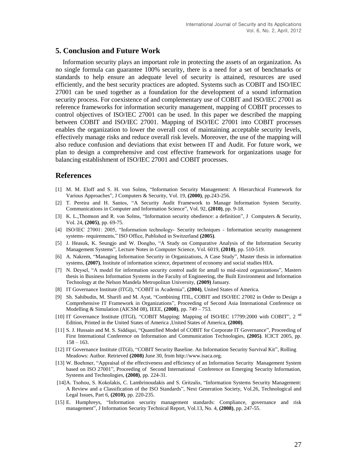## **5. Conclusion and Future Work**

Information security plays an important role in protecting the assets of an organization. As no single formula can guarantee 100% security, there is a need for a set of benchmarks or standards to help ensure an adequate level of security is attained, resources are used efficiently, and the best security practices are adopted. Systems such as COBIT and ISO/IEC 27001 can be used together as a foundation for the development of a sound information security process. For coexistence of and complementary use of COBIT and ISO/IEC 27001 as reference frameworks for information security management, mapping of COBIT processes to control objectives of ISO/IEC 27001 can be used. In this paper we described the mapping between COBIT and ISO/IEC 27001. Mapping of ISO/IEC 27001 into COBIT processes enables the organization to lower the overall cost of maintaining acceptable security levels, effectively manage risks and reduce overall risk levels. Moreover, the use of the mapping will also reduce confusion and deviations that exist between IT and Audit. For future work, we plan to design a comprehensive and cost effective framework for organizations usage for balancing establishment of ISO/IEC 27001 and COBIT processes.

## **References**

- [1] M. M. Eloff and S. H. von Solms, "Information Security Management: A Hierarchical Framework for Various Approaches", J Computers & Security, Vol. 19, **(2000)**, pp.243-256.
- [2] T. Pereira and H. Santos, "A Security Audit Framework to Manage Information System Security. [Communications in Computer and Information Science"](http://www.springerlink.com/content/1865-0929/), Vol. 92, **(2010)**, pp. 9-18.
- [3] K. L.,Thomson and R. von Solms, "Information security obedience: a definition", J Computers & Security, Vol. 24, **(2005)**, pp. 69-75.
- [4] ISO/IEC 27001: 2005, "Information technology- Security techniques Information security management systems- requirements," ISO Office, Published in Switzerland **(2005)**.
- [5] J. Heasuk, K. Seungjo and W. Dongho, "A Study on Comparative Analysis of the Information Security Management Systems", [Lecture Notes in Computer Science,](http://www.springerlink.com/content/0302-9743/) Vol. 6019, **(2010)**, pp. 510-519.
- [6] A. Nakrem, "Managing Information Security in Organizations, A Case Study", Master thesis in information systems, **(2007)**, Institute of information science, department of economy and social studies HIA.
- [7] N. Deysel, "A model for information security control audit for amall to mid-sized organizations", Masters thesis in Business Information Systems in the Faculty of Engineering, the Built Environment and Information Technology at the Nelson Mandela Metropolitan University, **(2009)** January.
- [8] IT Governance Institute (ITGI), "COBIT in Academia", **(2004)**, United States of America.
- [9] Sh. Sahibudin, M. Sharifi and M. Ayat, "Combining ITIL, COBIT and ISO/IEC 27002 in Order to Design a Comprehensive IT Framework in Organizations", Proceeding of Second Asia International Conference on Modelling & Simulation (AICSM 08), IEEE, **(2008)**, pp. 749 – 753.
- [10] [IT Governance Institute](http://www.google.com/search?hl=en&tbo=1&biw=1017&bih=421&tbm=bks&tbm=bks&q=inauthor:%22IT+Governance+Institute%22&sa=X&ei=Zd42TqqkKIPHsga4v_C4Ag&ved=0CCkQ9Ag) (ITGI), "COBIT Mapping: Mapping of ISO/IEC 17799:2000 with COBIT", 2<sup>nd</sup> Edition, Printed in the United States of America ,United States of America, **(2000)**.
- [11] S. J. Hussain and M. S. Siddiqui, "Quantified Model of COBIT for Corporate IT Governance", Proceeding of First International Conference on Information and Communication Technologies, **(2005)**. ICICT 2005, pp.  $158 - 163.$
- [12] IT Governance Institute (ITGI), "COBIT Security Baseline. An Information Security Survival Kit", Rolling Meadows: Author. Retrieved **(2008)** June 30, from http://www.isaca.org.
- [13] W. Boehmer, "Appraisal of the effectiveness and efficiency of an Information Security Management System based on ISO 27001", Proceeding of Second International Conference on Emerging Security Information, Systems and Technologies, **(2008)**, pp. 224-31.
- [14]A. Tsohou, S. Kokolakis, C. Lambrinoudakis and S. Gritzalis, "Information Systems Security Management: A Review and a Classification of the ISO Standards", [Next Generation Society, Vol.26, Technological and](http://www.springerlink.com/content/978-3-642-11629-2/)  Legal [Issues,](http://www.springerlink.com/content/978-3-642-11629-2/) Part 6, **(2010)**, pp. 220-235.
- [15] E. Humphreys, "Information security management standards: Compliance, governance and risk management", J Information Security Technical Report, Vol.13, No. 4, **(2008)**, pp. 247-55.